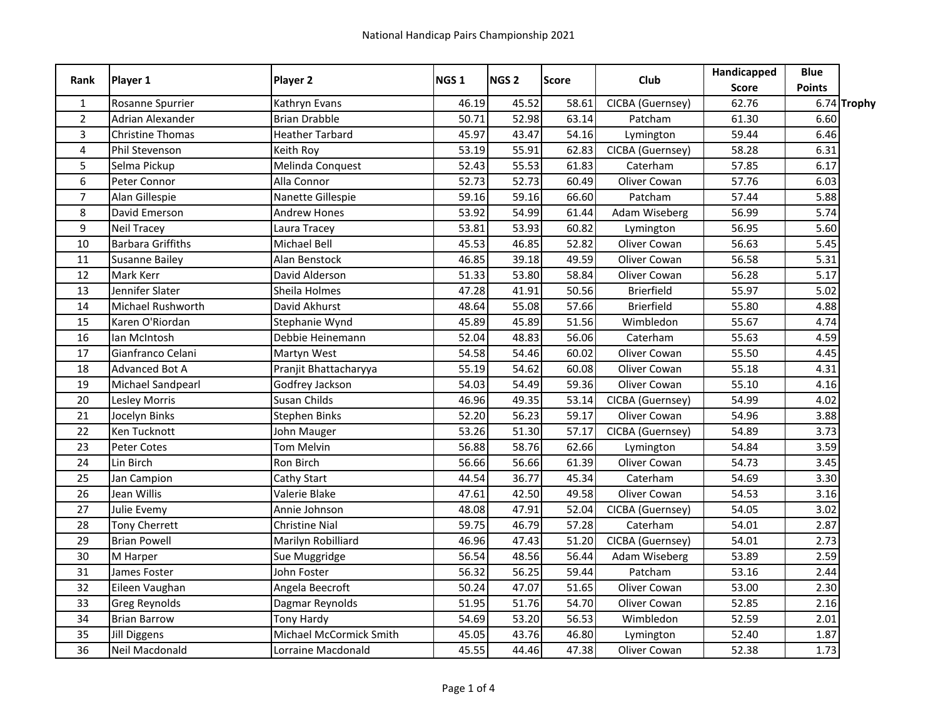| Rank           | Player 1                 | Player 2                | NGS <sub>1</sub> | NGS <sub>2</sub> | <b>Score</b> | Club              | Handicapped<br><b>Score</b> | <b>Blue</b><br><b>Points</b> |             |
|----------------|--------------------------|-------------------------|------------------|------------------|--------------|-------------------|-----------------------------|------------------------------|-------------|
| $\mathbf{1}$   | Rosanne Spurrier         | Kathryn Evans           | 46.19            | 45.52            | 58.61        | CICBA (Guernsey)  | 62.76                       |                              | 6.74 Trophy |
| $\overline{2}$ | <b>Adrian Alexander</b>  | <b>Brian Drabble</b>    | 50.71            | 52.98            | 63.14        | Patcham           | 61.30                       | 6.60                         |             |
| 3              | <b>Christine Thomas</b>  | <b>Heather Tarbard</b>  | 45.97            | 43.47            | 54.16        | Lymington         | 59.44                       | 6.46                         |             |
| $\overline{4}$ | Phil Stevenson           | Keith Roy               | 53.19            | 55.91            | 62.83        | CICBA (Guernsey)  | 58.28                       | 6.31                         |             |
| 5              | Selma Pickup             | Melinda Conquest        | 52.43            | 55.53            | 61.83        | Caterham          | 57.85                       | 6.17                         |             |
| 6              | Peter Connor             | Alla Connor             | 52.73            | 52.73            | 60.49        | Oliver Cowan      | 57.76                       | 6.03                         |             |
| $\overline{7}$ | Alan Gillespie           | Nanette Gillespie       | 59.16            | 59.16            | 66.60        | Patcham           | 57.44                       | 5.88                         |             |
| 8              | David Emerson            | <b>Andrew Hones</b>     | 53.92            | 54.99            | 61.44        | Adam Wiseberg     | 56.99                       | 5.74                         |             |
| 9              | <b>Neil Tracey</b>       | Laura Tracev            | 53.81            | 53.93            | 60.82        | Lymington         | 56.95                       | 5.60                         |             |
| 10             | <b>Barbara Griffiths</b> | Michael Bell            | 45.53            | 46.85            | 52.82        | Oliver Cowan      | 56.63                       | 5.45                         |             |
| 11             | Susanne Bailey           | Alan Benstock           | 46.85            | 39.18            | 49.59        | Oliver Cowan      | 56.58                       | 5.31                         |             |
| 12             | Mark Kerr                | David Alderson          | 51.33            | 53.80            | 58.84        | Oliver Cowan      | 56.28                       | 5.17                         |             |
| 13             | Jennifer Slater          | Sheila Holmes           | 47.28            | 41.91            | 50.56        | <b>Brierfield</b> | 55.97                       | 5.02                         |             |
| 14             | Michael Rushworth        | David Akhurst           | 48.64            | 55.08            | 57.66        | <b>Brierfield</b> | 55.80                       | 4.88                         |             |
| 15             | Karen O'Riordan          | Stephanie Wynd          | 45.89            | 45.89            | 51.56        | Wimbledon         | 55.67                       | 4.74                         |             |
| 16             | lan McIntosh             | Debbie Heinemann        | 52.04            | 48.83            | 56.06        | Caterham          | 55.63                       | 4.59                         |             |
| 17             | Gianfranco Celani        | Martyn West             | 54.58            | 54.46            | 60.02        | Oliver Cowan      | 55.50                       | 4.45                         |             |
| 18             | <b>Advanced Bot A</b>    | Pranjit Bhattacharyya   | 55.19            | 54.62            | 60.08        | Oliver Cowan      | 55.18                       | 4.31                         |             |
| 19             | Michael Sandpearl        | Godfrey Jackson         | 54.03            | 54.49            | 59.36        | Oliver Cowan      | 55.10                       | 4.16                         |             |
| 20             | Lesley Morris            | Susan Childs            | 46.96            | 49.35            | 53.14        | CICBA (Guernsey)  | 54.99                       | 4.02                         |             |
| 21             | Jocelyn Binks            | <b>Stephen Binks</b>    | 52.20            | 56.23            | 59.17        | Oliver Cowan      | 54.96                       | 3.88                         |             |
| 22             | Ken Tucknott             | John Mauger             | 53.26            | 51.30            | 57.17        | CICBA (Guernsey)  | 54.89                       | 3.73                         |             |
| 23             | Peter Cotes              | <b>Tom Melvin</b>       | 56.88            | 58.76            | 62.66        | Lymington         | 54.84                       | 3.59                         |             |
| 24             | Lin Birch                | Ron Birch               | 56.66            | 56.66            | 61.39        | Oliver Cowan      | 54.73                       | 3.45                         |             |
| 25             | Jan Campion              | Cathy Start             | 44.54            | 36.77            | 45.34        | Caterham          | 54.69                       | 3.30                         |             |
| 26             | Jean Willis              | Valerie Blake           | 47.61            | 42.50            | 49.58        | Oliver Cowan      | 54.53                       | 3.16                         |             |
| 27             | Julie Evemy              | Annie Johnson           | 48.08            | 47.91            | 52.04        | CICBA (Guernsey)  | 54.05                       | 3.02                         |             |
| 28             | <b>Tony Cherrett</b>     | <b>Christine Nial</b>   | 59.75            | 46.79            | 57.28        | Caterham          | 54.01                       | 2.87                         |             |
| 29             | <b>Brian Powell</b>      | Marilyn Robilliard      | 46.96            | 47.43            | 51.20        | CICBA (Guernsey)  | 54.01                       | 2.73                         |             |
| 30             | M Harper                 | Sue Muggridge           | 56.54            | 48.56            | 56.44        | Adam Wiseberg     | 53.89                       | 2.59                         |             |
| 31             | James Foster             | John Foster             | 56.32            | 56.25            | 59.44        | Patcham           | $\overline{53.16}$          | 2.44                         |             |
| 32             | Eileen Vaughan           | Angela Beecroft         | 50.24            | 47.07            | 51.65        | Oliver Cowan      | 53.00                       | 2.30                         |             |
| 33             | <b>Greg Reynolds</b>     | Dagmar Reynolds         | 51.95            | 51.76            | 54.70        | Oliver Cowan      | 52.85                       | 2.16                         |             |
| 34             | <b>Brian Barrow</b>      | <b>Tony Hardy</b>       | 54.69            | 53.20            | 56.53        | Wimbledon         | 52.59                       | 2.01                         |             |
| 35             | Jill Diggens             | Michael McCormick Smith | 45.05            | 43.76            | 46.80        | Lymington         | 52.40                       | 1.87                         |             |
| 36             | Neil Macdonald           | Lorraine Macdonald      | 45.55            | 44.46            | 47.38        | Oliver Cowan      | 52.38                       | 1.73                         |             |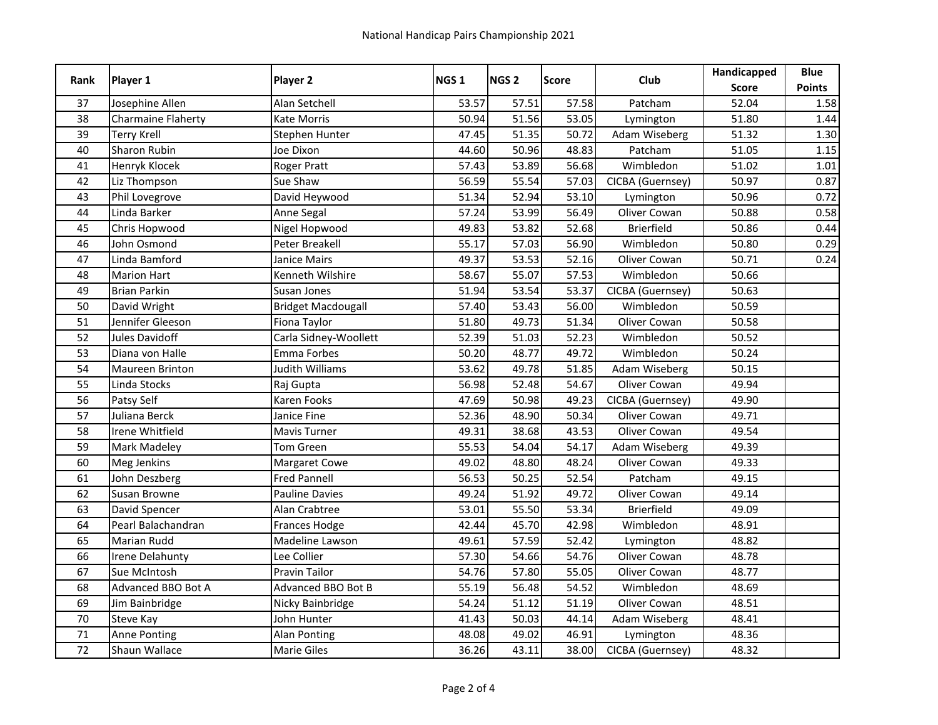|      |                           |                           | NGS <sub>1</sub> | NGS <sub>2</sub> | <b>Score</b> | Club              | Handicapped  | <b>Blue</b>   |
|------|---------------------------|---------------------------|------------------|------------------|--------------|-------------------|--------------|---------------|
| Rank | Player 1                  | Player 2                  |                  |                  |              |                   | <b>Score</b> | <b>Points</b> |
| 37   | Josephine Allen           | Alan Setchell             | 53.57            | 57.51            | 57.58        | Patcham           | 52.04        | 1.58          |
| 38   | <b>Charmaine Flaherty</b> | Kate Morris               | 50.94            | 51.56            | 53.05        | Lymington         | 51.80        | 1.44          |
| 39   | <b>Terry Krell</b>        | Stephen Hunter            | 47.45            | 51.35            | 50.72        | Adam Wiseberg     | 51.32        | 1.30          |
| 40   | Sharon Rubin              | Joe Dixon                 | 44.60            | 50.96            | 48.83        | Patcham           | 51.05        | $1.15$        |
| 41   | Henryk Klocek             | <b>Roger Pratt</b>        | 57.43            | 53.89            | 56.68        | Wimbledon         | 51.02        | 1.01          |
| 42   | Liz Thompson              | Sue Shaw                  | 56.59            | 55.54            | 57.03        | CICBA (Guernsey)  | 50.97        | 0.87          |
| 43   | Phil Lovegrove            | David Heywood             | 51.34            | 52.94            | 53.10        | Lymington         | 50.96        | 0.72          |
| 44   | Linda Barker              | Anne Segal                | 57.24            | 53.99            | 56.49        | Oliver Cowan      | 50.88        | 0.58          |
| 45   | Chris Hopwood             | Nigel Hopwood             | 49.83            | 53.82            | 52.68        | <b>Brierfield</b> | 50.86        | 0.44          |
| 46   | John Osmond               | Peter Breakell            | 55.17            | 57.03            | 56.90        | Wimbledon         | 50.80        | 0.29          |
| 47   | Linda Bamford             | Janice Mairs              | 49.37            | 53.53            | 52.16        | Oliver Cowan      | 50.71        | 0.24          |
| 48   | <b>Marion Hart</b>        | Kenneth Wilshire          | 58.67            | 55.07            | 57.53        | Wimbledon         | 50.66        |               |
| 49   | <b>Brian Parkin</b>       | Susan Jones               | 51.94            | 53.54            | 53.37        | CICBA (Guernsey)  | 50.63        |               |
| 50   | David Wright              | <b>Bridget Macdougall</b> | 57.40            | 53.43            | 56.00        | Wimbledon         | 50.59        |               |
| 51   | Jennifer Gleeson          | Fiona Taylor              | 51.80            | 49.73            | 51.34        | Oliver Cowan      | 50.58        |               |
| 52   | <b>Jules Davidoff</b>     | Carla Sidney-Woollett     | 52.39            | 51.03            | 52.23        | Wimbledon         | 50.52        |               |
| 53   | Diana von Halle           | Emma Forbes               | 50.20            | 48.77            | 49.72        | Wimbledon         | 50.24        |               |
| 54   | Maureen Brinton           | Judith Williams           | 53.62            | 49.78            | 51.85        | Adam Wiseberg     | 50.15        |               |
| 55   | Linda Stocks              | Raj Gupta                 | 56.98            | 52.48            | 54.67        | Oliver Cowan      | 49.94        |               |
| 56   | Patsy Self                | Karen Fooks               | 47.69            | 50.98            | 49.23        | CICBA (Guernsey)  | 49.90        |               |
| 57   | Juliana Berck             | Janice Fine               | 52.36            | 48.90            | 50.34        | Oliver Cowan      | 49.71        |               |
| 58   | Irene Whitfield           | Mavis Turner              | 49.31            | 38.68            | 43.53        | Oliver Cowan      | 49.54        |               |
| 59   | <b>Mark Madeley</b>       | Tom Green                 | 55.53            | 54.04            | 54.17        | Adam Wiseberg     | 49.39        |               |
| 60   | <b>Meg Jenkins</b>        | Margaret Cowe             | 49.02            | 48.80            | 48.24        | Oliver Cowan      | 49.33        |               |
| 61   | John Deszberg             | <b>Fred Pannell</b>       | 56.53            | 50.25            | 52.54        | Patcham           | 49.15        |               |
| 62   | Susan Browne              | <b>Pauline Davies</b>     | 49.24            | 51.92            | 49.72        | Oliver Cowan      | 49.14        |               |
| 63   | David Spencer             | Alan Crabtree             | 53.01            | 55.50            | 53.34        | <b>Brierfield</b> | 49.09        |               |
| 64   | Pearl Balachandran        | Frances Hodge             | 42.44            | 45.70            | 42.98        | Wimbledon         | 48.91        |               |
| 65   | <b>Marian Rudd</b>        | Madeline Lawson           | 49.61            | 57.59            | 52.42        | Lymington         | 48.82        |               |
| 66   | <b>Irene Delahunty</b>    | Lee Collier               | 57.30            | 54.66            | 54.76        | Oliver Cowan      | 48.78        |               |
| 67   | Sue McIntosh              | Pravin Tailor             | 54.76            | 57.80            | 55.05        | Oliver Cowan      | 48.77        |               |
| 68   | Advanced BBO Bot A        | <b>Advanced BBO Bot B</b> | 55.19            | 56.48            | 54.52        | Wimbledon         | 48.69        |               |
| 69   | Jim Bainbridge            | Nicky Bainbridge          | 54.24            | 51.12            | 51.19        | Oliver Cowan      | 48.51        |               |
| 70   | Steve Kay                 | John Hunter               | 41.43            | 50.03            | 44.14        | Adam Wiseberg     | 48.41        |               |
| 71   | <b>Anne Ponting</b>       | Alan Ponting              | 48.08            | 49.02            | 46.91        | Lymington         | 48.36        |               |
| 72   | Shaun Wallace             | <b>Marie Giles</b>        | 36.26            | 43.11            | 38.00        | CICBA (Guernsey)  | 48.32        |               |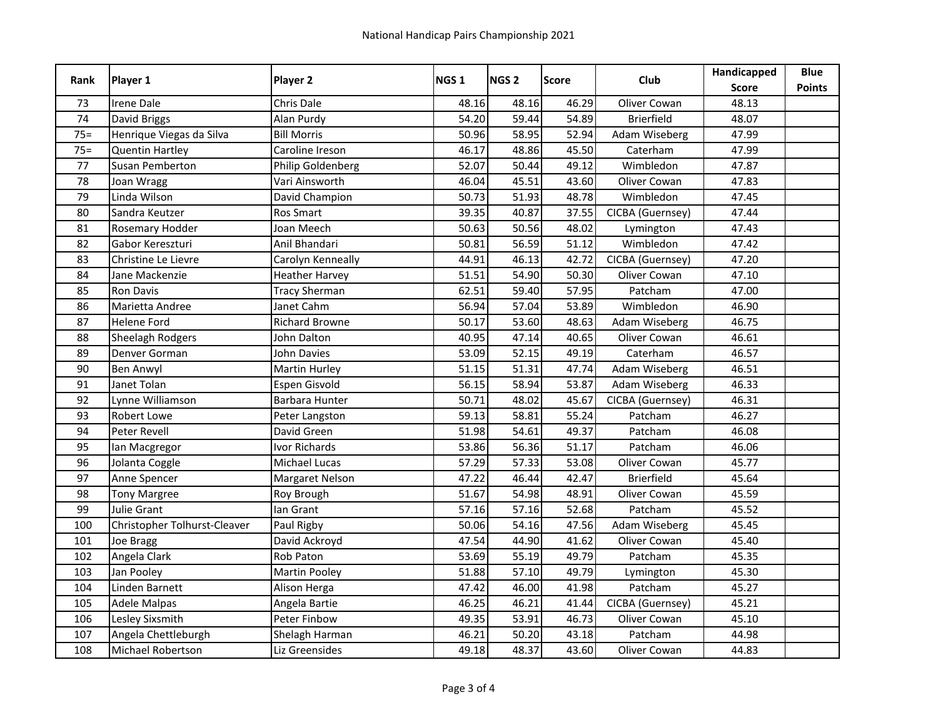| Rank   | Player 1                     | Player 2              | NGS <sub>1</sub> | NGS <sub>2</sub> | <b>Score</b> | Club              | Handicapped  | <b>Blue</b>   |
|--------|------------------------------|-----------------------|------------------|------------------|--------------|-------------------|--------------|---------------|
|        |                              |                       |                  |                  |              |                   | <b>Score</b> | <b>Points</b> |
| 73     | <b>Irene Dale</b>            | <b>Chris Dale</b>     | 48.16            | 48.16            | 46.29        | Oliver Cowan      | 48.13        |               |
| 74     | David Briggs                 | Alan Purdy            | 54.20            | 59.44            | 54.89        | <b>Brierfield</b> | 48.07        |               |
| $75 =$ | Henrique Viegas da Silva     | <b>Bill Morris</b>    | 50.96            | 58.95            | 52.94        | Adam Wiseberg     | 47.99        |               |
| $75 =$ | <b>Quentin Hartley</b>       | Caroline Ireson       | 46.17            | 48.86            | 45.50        | Caterham          | 47.99        |               |
| 77     | Susan Pemberton              | Philip Goldenberg     | 52.07            | 50.44            | 49.12        | Wimbledon         | 47.87        |               |
| 78     | Joan Wragg                   | Vari Ainsworth        | 46.04            | 45.51            | 43.60        | Oliver Cowan      | 47.83        |               |
| 79     | Linda Wilson                 | David Champion        | 50.73            | 51.93            | 48.78        | Wimbledon         | 47.45        |               |
| 80     | Sandra Keutzer               | Ros Smart             | 39.35            | 40.87            | 37.55        | CICBA (Guernsey)  | 47.44        |               |
| 81     | <b>Rosemary Hodder</b>       | Joan Meech            | 50.63            | 50.56            | 48.02        | Lymington         | 47.43        |               |
| 82     | Gabor Kereszturi             | Anil Bhandari         | 50.81            | 56.59            | 51.12        | Wimbledon         | 47.42        |               |
| 83     | Christine Le Lievre          | Carolyn Kenneally     | 44.91            | 46.13            | 42.72        | CICBA (Guernsey)  | 47.20        |               |
| 84     | Jane Mackenzie               | <b>Heather Harvey</b> | 51.51            | 54.90            | 50.30        | Oliver Cowan      | 47.10        |               |
| 85     | <b>Ron Davis</b>             | <b>Tracy Sherman</b>  | 62.51            | 59.40            | 57.95        | Patcham           | 47.00        |               |
| 86     | Marietta Andree              | Janet Cahm            | 56.94            | 57.04            | 53.89        | Wimbledon         | 46.90        |               |
| 87     | <b>Helene Ford</b>           | <b>Richard Browne</b> | 50.17            | 53.60            | 48.63        | Adam Wiseberg     | 46.75        |               |
| 88     | Sheelagh Rodgers             | John Dalton           | 40.95            | 47.14            | 40.65        | Oliver Cowan      | 46.61        |               |
| 89     | Denver Gorman                | <b>John Davies</b>    | 53.09            | 52.15            | 49.19        | Caterham          | 46.57        |               |
| 90     | <b>Ben Anwyl</b>             | Martin Hurley         | 51.15            | 51.31            | 47.74        | Adam Wiseberg     | 46.51        |               |
| 91     | Janet Tolan                  | Espen Gisvold         | 56.15            | 58.94            | 53.87        | Adam Wiseberg     | 46.33        |               |
| 92     | Lynne Williamson             | Barbara Hunter        | 50.71            | 48.02            | 45.67        | CICBA (Guernsey)  | 46.31        |               |
| 93     | <b>Robert Lowe</b>           | Peter Langston        | 59.13            | 58.81            | 55.24        | Patcham           | 46.27        |               |
| 94     | Peter Revell                 | David Green           | 51.98            | 54.61            | 49.37        | Patcham           | 46.08        |               |
| 95     | Ian Macgregor                | <b>Ivor Richards</b>  | 53.86            | 56.36            | 51.17        | Patcham           | 46.06        |               |
| 96     | Jolanta Coggle               | Michael Lucas         | 57.29            | 57.33            | 53.08        | Oliver Cowan      | 45.77        |               |
| 97     | Anne Spencer                 | Margaret Nelson       | 47.22            | 46.44            | 42.47        | <b>Brierfield</b> | 45.64        |               |
| 98     | <b>Tony Margree</b>          | Roy Brough            | 51.67            | 54.98            | 48.91        | Oliver Cowan      | 45.59        |               |
| 99     | <b>Julie Grant</b>           | lan Grant             | 57.16            | 57.16            | 52.68        | Patcham           | 45.52        |               |
| 100    | Christopher Tolhurst-Cleaver | Paul Rigby            | 50.06            | 54.16            | 47.56        | Adam Wiseberg     | 45.45        |               |
| 101    | Joe Bragg                    | David Ackroyd         | 47.54            | 44.90            | 41.62        | Oliver Cowan      | 45.40        |               |
| 102    | Angela Clark                 | Rob Paton             | 53.69            | 55.19            | 49.79        | Patcham           | 45.35        |               |
| 103    | Jan Pooley                   | <b>Martin Pooley</b>  | 51.88            | 57.10            | 49.79        | Lymington         | 45.30        |               |
| 104    | Linden Barnett               | Alison Herga          | 47.42            | 46.00            | 41.98        | Patcham           | 45.27        |               |
| 105    | <b>Adele Malpas</b>          | Angela Bartie         | 46.25            | 46.21            | 41.44        | CICBA (Guernsey)  | 45.21        |               |
| 106    | Lesley Sixsmith              | Peter Finbow          | 49.35            | 53.91            | 46.73        | Oliver Cowan      | 45.10        |               |
| 107    | Angela Chettleburgh          | Shelagh Harman        | 46.21            | 50.20            | 43.18        | Patcham           | 44.98        |               |
| 108    | <b>Michael Robertson</b>     | Liz Greensides        | 49.18            | 48.37            | 43.60        | Oliver Cowan      | 44.83        |               |